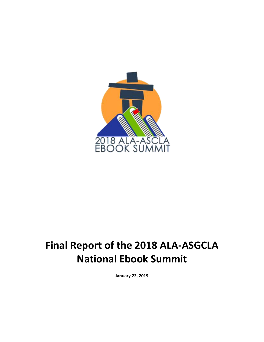

# **Final Report of the 2018 ALA-ASGCLA National Ebook Summit**

**January 22, 2019**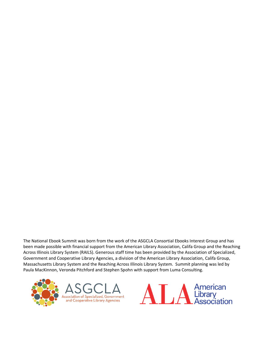The National Ebook Summit was born from the work of the ASGCLA Consortial Ebooks Interest Group and has been made possible with financial support from the American Library Association, Califa Group and the Reaching Across Illinois Library System (RAILS). Generous staff time has been provided by the Association of Specialized, Government and Cooperative Library Agencies, a division of the American Library Association, Califa Group, Massachusetts Library System and the Reaching Across Illinois Library System. Summit planning was led by Paula MacKinnon, Veronda Pitchford and Stephen Spohn with support from Luma Consulting.



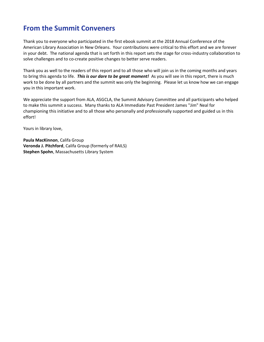## **From the Summit Conveners**

Thank you to everyone who participated in the first ebook summit at the 2018 Annual Conference of the American Library Association in New Orleans. Your contributions were critical to this effort and we are forever in your debt. The national agenda that is set forth in this report sets the stage for cross-industry collaboration to solve challenges and to co-create positive changes to better serve readers.

Thank you as well to the readers of this report and to all those who will join us in the coming months and years to bring this agenda to life. *This is our dare to be great moment!* As you will see in this report, there is much work to be done by all partners and the summit was only the beginning. Please let us know how we can engage you in this important work.

We appreciate the support from ALA, ASGCLA, the Summit Advisory Committee and all participants who helped to make this summit a success. Many thanks to ALA Immediate Past President James "Jim" Neal for championing this initiative and to all those who personally and professionally supported and guided us in this effort!

Yours in library love,

**Paula MacKinnon**, Califa Group **Veronda J. Pitchford**, Califa Group (formerly of RAILS) **Stephen Spohn**, Massachusetts Library System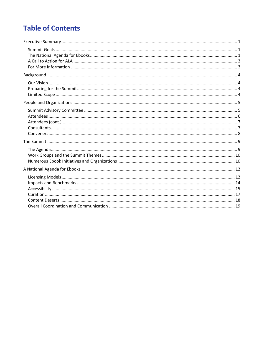## **Table of Contents**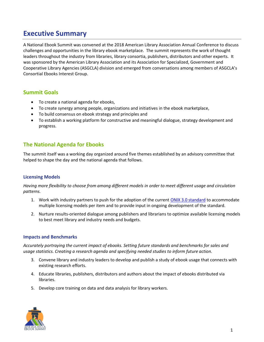## <span id="page-4-0"></span>**Executive Summary**

A National Ebook Summit was convened at the 2018 American Library Association Annual Conference to discuss challenges and opportunities in the library ebook marketplace. The summit represents the work of thought leaders throughout the industry from libraries, library consortia, publishers, distributors and other experts. It was sponsored by the American Library Association and its Association for Specialized, Government and Cooperative Library Agencies (ASGCLA) division and emerged from conversations among members of ASGCLA's Consortial Ebooks Interest Group.

## <span id="page-4-1"></span>**Summit Goals**

- To create a national agenda for ebooks,
- To create synergy among people, organizations and initiatives in the ebook marketplace,
- To build consensus on ebook strategy and principles and
- To establish a working platform for constructive and meaningful dialogue, strategy development and progress.

## <span id="page-4-2"></span>**The National Agenda for Ebooks**

The summit itself was a working day organized around five themes established by an advisory committee that helped to shape the day and the national agenda that follows.

#### **Licensing Models**

*Having more flexibility to choose from among different models in order to meet different usage and circulation patterns.*

- 1. Work with industry partners to push for the adoption of the current [ONIX 3.0 standard](https://bisg.org/page/ONIXforBooks) to accommodate multiple licensing models per item and to provide input in ongoing development of the standard.
- 2. Nurture results-oriented dialogue among publishers and librarians to optimize available licensing models to best meet library and industry needs and budgets.

#### **Impacts and Benchmarks**

*Accurately portraying the current impact of ebooks. Setting future standards and benchmarks for sales and usage statistics. Creating a research agenda and specifying needed studies to inform future action.*

- 3. Convene library and industry leaders to develop and publish a study of ebook usage that connects with existing research efforts.
- 4. Educate libraries, publishers, distributors and authors about the impact of ebooks distributed via libraries.
- 5. Develop core training on data and data analysis for library workers.

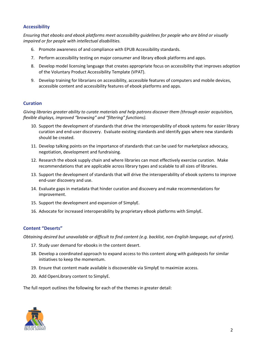#### **Accessibility**

*Ensuring that ebooks and ebook platforms meet accessibility guidelines for people who are blind or visually impaired or for people with intellectual disabilities.*

- 6. Promote awareness of and compliance with EPUB Accessibility standards.
- 7. Perform accessibility testing on major consumer and library eBook platforms and apps.
- 8. Develop model licensing language that creates appropriate focus on accessibility that improves adoption of the Voluntary Product Accessibility Template (VPAT).
- 9. Develop training for librarians on accessibility, accessible features of computers and mobile devices, accessible content and accessibility features of ebook platforms and apps.

#### **Curation**

*Giving libraries greater ability to curate materials and help patrons discover them (through easier acquisition, flexible displays, improved "browsing" and "filtering" functions).*

- 10. Support the development of standards that drive the interoperability of ebook systems for easier library curation and end-user discovery. Evaluate existing standards and identify gaps where new standards should be created.
- 11. Develop talking points on the importance of standards that can be used for marketplace advocacy, negotiation, development and fundraising.
- 12. Research the ebook supply chain and where libraries can most effectively exercise curation. Make recommendations that are applicable across library types and scalable to all sizes of libraries.
- 13. Support the development of standards that will drive the interoperability of ebook systems to improve end-user discovery and use.
- 14. Evaluate gaps in metadata that hinder curation and discovery and make recommendations for improvement.
- 15. Support the development and expansion of SimplyE.
- 16. Advocate for increased interoperability by proprietary eBook platforms with SimplyE.

#### **Content "Deserts"**

*Obtaining desired but unavailable or difficult to find content (e.g. backlist, non-English language, out of print).*

- 17. Study user demand for ebooks in the content desert.
- 18. Develop a coordinated approach to expand access to this content along with guideposts for similar initiatives to keep the momentum.
- 19. Ensure that content made available is discoverable via SimplyE to maximize access.
- 20. Add OpenLibrary content to SimplyE.

The full report outlines the following for each of the themes in greater detail:

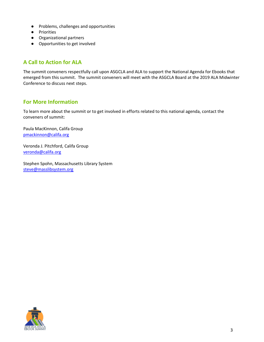- Problems, challenges and opportunities
- Priorities
- Organizational partners
- Opportunities to get involved

## <span id="page-6-0"></span>**A Call to Action for ALA**

The summit conveners respectfully call upon ASGCLA and ALA to support the National Agenda for Ebooks that emerged from this summit. The summit conveners will meet with the ASGCLA Board at the 2019 ALA Midwinter Conference to discuss next steps.

## <span id="page-6-1"></span>**For More Information**

To learn more about the summit or to get involved in efforts related to this national agenda, contact the conveners of summit:

Paula MacKinnon, Califa Group [pmackinnon@califa.org](mailto:pmackinnon@califa.org)

Veronda J. Pitchford, Califa Group [veronda@califa.org](mailto:veronda@califa.org)

Stephen Spohn, Massachusetts Library System [steve@masslibsystem.org](mailto:steve@masslibsystem.org)

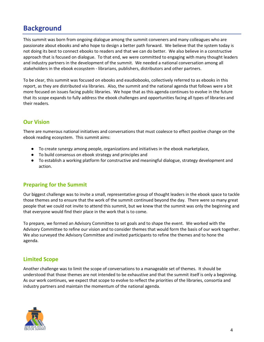## <span id="page-7-0"></span>**Background**

This summit was born from ongoing dialogue among the summit conveners and many colleagues who are passionate about ebooks and who hope to design a better path forward. We believe that the system today is not doing its best to connect ebooks to readers and that we can do better. We also believe in a constructive approach that is focused on dialogue. To that end, we were committed to engaging with many thought leaders and industry partners in the development of the summit. We needed a national conversation among all stakeholders in the ebook ecosystem - librarians, publishers, distributors and other partners.

To be clear, this summit was focused on ebooks and eaudiobooks, collectively referred to as ebooks in this report, as they are distributed via libraries. Also, the summit and the national agenda that follows were a bit more focused on issues facing public libraries. We hope that as this agenda continues to evolve in the future that its scope expands to fully address the ebook challenges and opportunities facing all types of libraries and their readers.

## <span id="page-7-1"></span>**Our Vision**

There are numerous national initiatives and conversations that must coalesce to effect positive change on the ebook reading ecosystem. This summit aims:

- To create synergy among people, organizations and initiatives in the ebook marketplace,
- To build consensus on ebook strategy and principles and
- To establish a working platform for constructive and meaningful dialogue, strategy development and action.

## <span id="page-7-2"></span>**Preparing for the Summit**

Our biggest challenge was to invite a small, representative group of thought leaders in the ebook space to tackle those themes and to ensure that the work of the summit continued beyond the day. There were so many great people that we could not invite to attend this summit, but we knew that the summit was only the beginning and that everyone would find their place in the work that is to come.

To prepare, we formed an Advisory Committee to set goals and to shape the event. We worked with the Advisory Committee to refine our vision and to consider themes that would form the basis of our work together. We also surveyed the Advisory Committee and invited participants to refine the themes and to hone the agenda.

## <span id="page-7-3"></span>**Limited Scope**

Another challenge was to limit the scope of conversations to a manageable set of themes. It should be understood that those themes are not intended to be exhaustive and that the summit itself is only a beginning. As our work continues, we expect that scope to evolve to reflect the priorities of the libraries, consortia and industry partners and maintain the momentum of the national agenda.

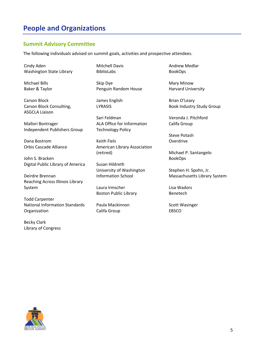## <span id="page-8-0"></span>**People and Organizations**

### <span id="page-8-1"></span>**Summit Advisory Committee**

The following individuals advised on summit goals, activities and prospective attendees.

Cindy Aden Washington State Library

Michael Bills Baker & Taylor

Carson Block Carson Block Consulting, ASGCLA Liaison

Mallori Bontrager Independent Publishers Group

Dana Bostrom Orbis Cascade Alliance

John S. Bracken Digital Public Library of America

Deirdre Brennan Reaching Across Illinois Library System

Todd Carpenter National Information Standards Organization

Becky Clark Library of Congress Mitchell Davis BiblioLabs

Skip Dye Penguin Random House

James English LYRASIS

Sari Feldman ALA Office for Information Technology Policy

Keith Fiels American Library Association (retired)

Susan Hildreth University of Washington Information School

Laura Irmscher Boston Public Library

Paula Mackinnon Califa Group

Andrew Medlar BookOps

Mary Minow Harvard University

Brian O'Leary Book Industry Study Group

Veronda J. Pitchford Califa Group

Steve Potash Overdrive

Michael P. Santangelo BookOps

Stephen H. Spohn, Jr. Massachusetts Library System

Lisa Wadors Benetech

Scott Wasinger EBSCO

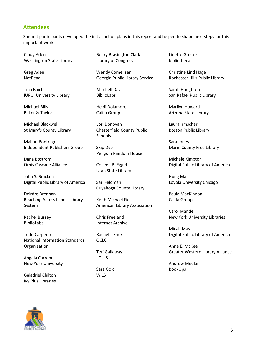### <span id="page-9-0"></span>**Attendees**

Summit participants developed the initial action plans in this report and helped to shape next steps for this important work.

Cindy Aden Washington State Library

Greg Aden NetRead

Tina Baich IUPUI University Library

Michael Bills Baker & Taylor

Michael Blackwell St Mary's County Library

Mallori Bontrager Independent Publishers Group

Dana Bostrom Orbis Cascade Alliance

John S. Bracken Digital Public Library of America

Deirdre Brennan Reaching Across Illinois Library System

Rachel Bussey BiblioLabs

Todd Carpenter National Information Standards Organization

Angela Carreno New York University

Galadriel Chilton Ivy Plus Libraries

Becky Brasington Clark Library of Congress

Wendy Cornelisen Georgia Public Library Service

Mitchell Davis BiblioLabs

Heidi Dolamore Califa Group

Lori Donovan Chesterfield County Public **Schools** 

Skip Dye Penguin Random House

Colleen B. Eggett Utah State Library

Sari Feldman Cuyahoga County Library

Keith Michael Fiels American Library Association

Chris Freeland Internet Archive

Rachel L Frick OCLC

Teri Gallaway LOUIS

Sara Gold WiLS

Linette Greske bibliotheca

Christine Lind Hage Rochester Hills Public Library

Sarah Houghton San Rafael Public Library

Marilyn Howard Arizona State Library

Laura Irmscher Boston Public Library

Sara Jones Marin County Free Library

Michele Kimpton Digital Public Library of America

Hong Ma Loyola University Chicago

Paula MacKinnon Califa Group

Carol Mandel New York University Libraries

Micah May Digital Public Library of America

Anne E. McKee Greater Western Library Alliance

Andrew Medlar BookOps

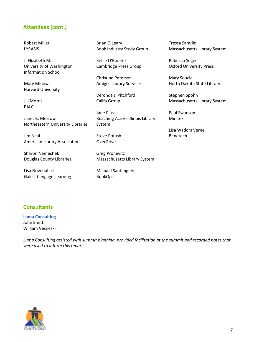## <span id="page-10-0"></span>**Attendees (cont.)**

Robert Miller LYRASIS

J. Elizabeth Mills University of Washington Information School

Mary Minow Harvard University

Jill Morris PALCi

Janet B. Morrow Northeastern University Libraries

Jim Neal American Library Association

Sharon Nemechek Douglas County Libraries

Lisa Novohatski Gale | Cengage Learning Brian O'Leary Book Industry Study Group

Kellie O'Rourke Cambridge Press Group

Christine Peterson Amigos Library Services

Veronda J. Pitchford Califa Group

Jane Plass Reaching Across Illinois Library System

Steve Potash **OverDrive** 

Greg Pronevitz Massachusetts Library System

Michael Santangelo BookOps

Tressa Santillo Massachusetts Library System

Rebecca Seger Oxford University Press

Mary Soucie North Dakota State Library

Stephen Spohn Massachusetts Library System

Paul Swanson Minitex

Lisa Wadors Verne Benetech

## <span id="page-10-1"></span>**Consultants**

**[Luma Consulting](http://luma-consulting.com/)** John Smith William Vesneski

*Luma Consulting assisted with summit planning, provided facilitation at the summit and recorded notes that were used to inform this report.*

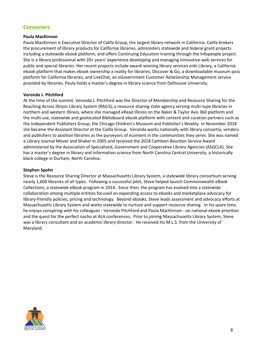## <span id="page-11-0"></span>**Conveners**

#### **Paula MacKinnon**

Paula MacKinnon is Executive Director of Califa Group, the largest library network in California. Califa brokers the procurement of library products for California libraries, administers statewide and federal grant projects including a statewide ebook platform, and offers Continuing Education training through the Infopeople project. She is a library professional with 20+ years' experience developing and managing innovative web services for public and special libraries. Her recent projects include award-winning library services enki Library, a California ebook platform that makes ebook ownership a reality for libraries; Discover & Go, a downloadable museum pass platform for California libraries; and LiveChat, an eGovernment Customer Relationship Management service provided by libraries. Paula holds a master's degree in library science from Dalhousie University.

#### **Veronda J. Pitchford**

At the time of the summit, Veronda J. Pitchford was the Director of Membership and Resource Sharing for the Reaching Across Illinois Library System (RAILS), a resource sharing state agency serving multi-type libraries in northern and western Illinois, where she managed eRead Illinois on the Baker & Taylor Axis 360 platform and the multi-use, statewide and geolocated Biblioboard ebook platform with content and curation partners such as the Independent Publishers Group, the Chicago Children's Museum and Publisher's Weekly. In November 2018 she became the Assistant Director at the Califa Group. Veronda works nationally with library consortia, vendors and publishers to position libraries as the purveyors of econtent in the communities they serve. She was named a Library Journal Mover and Shaker in 2005 and received the 2018 Cathleen Bourdon Service Award administered by the Association of Specialized, Government and Cooperative Library Agencies (ASGCLA). She has a master's degree in library and information science from North Carolina Central University, a historically black college in Durham, North Carolina.

#### **Stephen Spohn**

Steve is the Resource Sharing Director at Massachusetts Library System, a statewide library consortium serving nearly 1,600 libraries of all types. Following a successful pilot, Steve helped launch Commonwealth eBook Collections, a statewide eBook program in 2014. Since then, the program has evolved into a statewide collaboration among multiple entities focused on expanding access to ebooks and marketplace advocacy for library-friendly policies, pricing and technology. Beyond ebooks, Steve leads assessment and advocacy efforts at Massachusetts Library System and works statewide to nurture and support resource sharing. In his spare time, he enjoys conspiring with his colleagues - Veronda Pitchford and Paula MacKinnon - on national ebook priorities and the quest for the perfect nacho at ALA conferences. Prior to joining Massachusetts Library System, Steve was a library consultant and an academic library director. He received his M.L.S. from the University of Maryland.

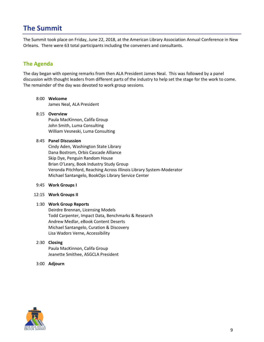## <span id="page-12-0"></span>**The Summit**

The Summit took place on Friday, June 22, 2018, at the American Library Association Annual Conference in New Orleans. There were 63 total participants including the conveners and consultants.

## <span id="page-12-1"></span>**The Agenda**

The day began with opening remarks from then ALA President James Neal. This was followed by a panel discussion with thought leaders from different parts of the industry to help set the stage for the work to come. The remainder of the day was devoted to work group sessions.

### 8:00 **Welcome**

James Neal, ALA President

#### 8:15 **Overview**

Paula MacKinnon, Califa Group John Smith, Luma Consulting William Vesneski, Luma Consulting

#### 8:45 **Panel Discussion**

Cindy Aden, Washington State Library Dana Bostrom, Orbis Cascade Alliance Skip Dye, Penguin Random House Brian O'Leary, Book Industry Study Group Veronda Pitchford, Reaching Across Illinois Library System-Moderator Michael Santangelo, BookOps Library Service Center

- 9:45 **Work Groups I**
- 12:15 **Work Groups II**

#### 1:30 **Work Group Reports**

Deirdre Brennan, Licensing Models Todd Carpenter, Impact Data, Benchmarks & Research Andrew Medlar, eBook Content Deserts Michael Santangelo, Curation & Discovery Lisa Wadors Verne, Accessibility

#### 2:30 **Closing**

Paula MacKinnon, Califa Group Jeanette Smithee, ASGCLA President

3:00 **Adjourn**

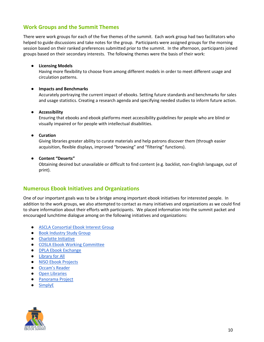### <span id="page-13-0"></span>**Work Groups and the Summit Themes**

There were work groups for each of the five themes of the summit. Each work group had two facilitators who helped to guide discussions and take notes for the group. Participants were assigned groups for the morning session based on their ranked preferences submitted prior to the summit. In the afternoon, participants joined groups based on their secondary interests. The following themes were the basis of their work:

#### ● **Licensing Models**

Having more flexibility to choose from among different models in order to meet different usage and circulation patterns.

#### ● **Impacts and Benchmarks**

Accurately portraying the current impact of ebooks. Setting future standards and benchmarks for sales and usage statistics. Creating a research agenda and specifying needed studies to inform future action.

#### ● **Accessibility**

Ensuring that ebooks and ebook platforms meet accessibility guidelines for people who are blind or visually impaired or for people with intellectual disabilities.

#### ● **Curation**

Giving libraries greater ability to curate materials and help patrons discover them (through easier acquisition, flexible displays, improved "browsing" and "filtering" functions).

#### ● **Content "Deserts"**

Obtaining desired but unavailable or difficult to find content (e.g. backlist, non-English language, out of print).

### <span id="page-13-1"></span>**Numerous Ebook Initiatives and Organizations**

One of our important goals was to be a bridge among important ebook initiatives for interested people. In addition to the work groups, we also attempted to contact as many initiatives and organizations as we could find to share information about their efforts with participants. We placed information into the summit packet and encouraged lunchtime dialogue among on the following initiatives and organizations:

- [ASCLA Consortial Ebook Interest Group](http://www.ala.org/ascla/interestgroups/igceb)
- [Book Industry Study Group](http://www.bisg.org/)
- [Charlotte Initiative](http://charlotteinitiative.uncc.edu/ci/reports)
- [COSLA Ebook Working Committee](http://www.cosla.org/)
- [DPLA Ebook Exchange](http://exchange.dp.la/)
- [Library for All](https://libraryforall.org.au/)
- [NISO Ebook Projects](https://www.niso.org/)
- [Occam's Reader](http://occamsreader.org/)
- [Open Libraries](http://openlibraries.online/)
- [Panorama Project](https://www.panoramaproject.org/)
- [SimplyE](http://www.librarysimplified.org/SimplyE)

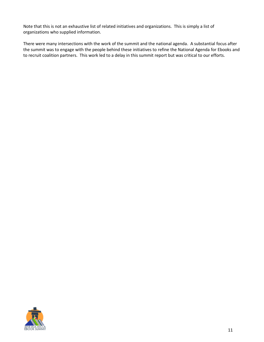Note that this is not an exhaustive list of related initiatives and organizations. This is simply a list of organizations who supplied information.

There were many intersections with the work of the summit and the national agenda. A substantial focus after the summit was to engage with the people behind these initiatives to refine the National Agenda for Ebooks and to recruit coalition partners. This work led to a delay in this summit report but was critical to our efforts.

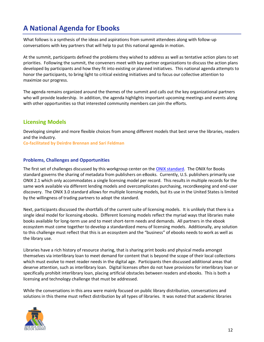## <span id="page-15-0"></span>**A National Agenda for Ebooks**

What follows is a synthesis of the ideas and aspirations from summit attendees along with follow-up conversations with key partners that will help to put this national agenda in motion.

At the summit, participants defined the problems they wished to address as well as tentative action plans to set priorities. Following the summit, the conveners meet with key partner organizations to discuss the action plans developed by participants and how they fit into existing or planned initiatives. This national agenda attempts to honor the participants, to bring light to critical existing initiatives and to focus our collective attention to maximize our progress.

The agenda remains organized around the themes of the summit and calls out the key organizational partners who will provide leadership. In addition, the agenda highlights important upcoming meetings and events along with other opportunities so that interested community members can join the efforts.

## <span id="page-15-1"></span>**Licensing Models**

Developing simpler and more flexible choices from among different models that best serve the libraries, readers and the industry.

**Co-facilitated by Deirdre Brennan and Sari Feldman**

#### **Problems, Challenges and Opportunities**

The first set of challenges discussed by this workgroup center on the [ONIX standard.](https://bisg.org/page/ONIXforBooks) The ONIX for Books standard governs the sharing of metadata from publishers on eBooks. Currently, U.S. publishers primarily use ONIX 2.1 which only accommodates a single licensing model per record. This results in multiple records for the same work available via different lending models and overcomplicates purchasing, recordkeeping and end-user discovery. The ONIX 3.0 standard allows for multiple licensing models, but its use in the United States is limited by the willingness of trading partners to adopt the standard.

Next, participants discussed the shortfalls of the current suite of licensing models. It is unlikely that there is a single ideal model for licensing ebooks. Different licensing models reflect the myriad ways that libraries make books available for long-term use and to meet short-term needs and demands. All partners in the ebook ecosystem must come together to develop a standardized menu of licensing models. Additionally, any solution to this challenge must reflect that this is an ecosystem and the "business" of ebooks needs to work as well as the library use.

Libraries have a rich history of resource sharing, that is sharing print books and physical media amongst themselves via interlibrary loan to meet demand for content that is beyond the scope of their local collections which must evolve to meet reader needs in the digital age. Participants then discussed additional areas that deserve attention, such as interlibrary loan. Digital licenses often do not have provisions for interlibrary loan or specifically prohibit interlibrary loan, placing artificial obstacles between readers and ebooks. This is both a licensing and technology challenge that must be addressed.

While the conversations in this area were mainly focused on public library distribution, conversations and solutions in this theme must reflect distribution by all types of libraries. It was noted that academic libraries

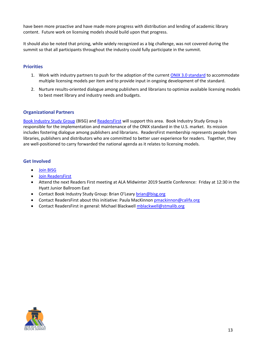have been more proactive and have made more progress with distribution and lending of academic library content. Future work on licensing models should build upon that progress.

It should also be noted that pricing, while widely recognized as a big challenge, was not covered during the summit so that all participants throughout the industry could fully participate in the summit.

#### **Priorities**

- 1. Work with industry partners to push for the adoption of the current [ONIX 3.0 standard](https://bisg.org/page/ONIXforBooks) to accommodate multiple licensing models per item and to provide input in ongoing development of the standard.
- 2. Nurture results-oriented dialogue among publishers and librarians to optimize available licensing models to best meet library and industry needs and budgets.

#### **Organizational Partners**

[Book Industry Study Group](https://bisg.org/) (BISG) and [ReadersFirst](http://www.readersfirst.org/) will support this area. Book Industry Study Group is responsible for the implementation and maintenance of the ONIX standard in the U.S. market. Its mission includes fostering dialogue among publishers and librarians. ReadersFirst membership represents people from libraries, publishers and distributors who are committed to better user experience for readers. Together, they are well-positioned to carry forwarded the national agenda as it relates to licensing models.

#### **Get Involved**

- [Join BISG](https://bisg.org/general/register_member_type.asp)
- [Join ReadersFirst](http://www.readersfirst.org/contact-us)
- Attend the next Readers First meeting at ALA Midwinter 2019 Seattle Conference: Friday at 12:30 in the Hyatt Junior Ballroom East
- Contact Book Industry Study Group: Brian O'Leary [brian@bisg.org](mailto:brian@bisg.org)
- Contact ReadersFirst about this initiative: Paula MacKinnon [pmackinnon@califa.org](mailto:pmackinnon@califa.org)
- Contact ReadersFirst in general: Michael Blackwell [mblackwell@stmalib.org](mailto:mblackwell@stmalib.org)

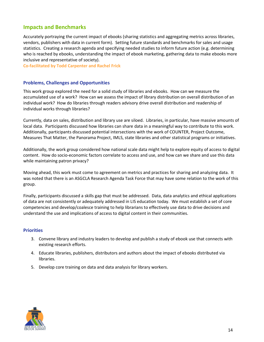### <span id="page-17-0"></span>**Impacts and Benchmarks**

Accurately portraying the current impact of ebooks (sharing statistics and aggregating metrics across libraries, vendors, publishers with data in current form). Setting future standards and benchmarks for sales and usage statistics. Creating a research agenda and specifying needed studies to inform future action (e.g. determining who is reached by ebooks, understanding the impact of ebook marketing, gathering data to make ebooks more inclusive and representative of society).

**Co-facilitated by Todd Carpenter and Rachel Frick**

#### **Problems, Challenges and Opportunities**

This work group explored the need for a solid study of libraries and ebooks. How can we measure the accumulated use of a work? How can we assess the impact of library distribution on overall distribution of an individual work? How do libraries through readers advisory drive overall distribution and readership of individual works through libraries?

Currently, data on sales, distribution and library use are siloed. Libraries, in particular, have massive amounts of local data. Participants discussed how libraries can share data in a meaningful way to contribute to this work. Additionally, participants discussed potential intersections with the work of COUNTER, Project Outcome, Measures That Matter, the Panorama Project, IMLS, state libraries and other statistical programs or initiatives.

Additionally, the work group considered how national scale data might help to explore equity of access to digital content. How do socio-economic factors correlate to access and use, and how can we share and use this data while maintaining patron privacy?

Moving ahead, this work must come to agreement on metrics and practices for sharing and analyzing data. It was noted that there is an ASGCLA Research Agenda Task Force that may have some relation to the work of this group.

Finally, participants discussed a skills gap that must be addressed. Data, data analytics and ethical applications of data are not consistently or adequately addressed in LIS education today. We must establish a set of core competencies and develop/coalesce training to help librarians to effectively use data to drive decisions and understand the use and implications of access to digital content in their communities.

#### **Priorities**

- 3. Convene library and industry leaders to develop and publish a study of ebook use that connects with existing research efforts.
- 4. Educate libraries, publishers, distributors and authors about the impact of ebooks distributed via libraries.
- 5. Develop core training on data and data analysis for library workers.

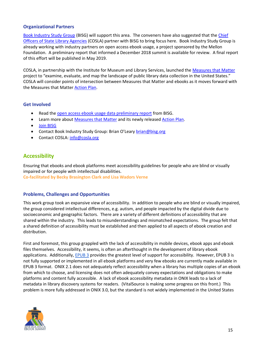#### **Organizational Partners**

[Book Industry Study Group](https://bisg.org/) (BISG) will support this area. The conveners have also suggested that the [Chief](https://www.cosla.org/)  [Officers of State Library Agencies](https://www.cosla.org/) (COSLA) partner with BISG to bring focus here. Book Industry Study Group is already working with industry partners on open access ebook usage, a project sponsored by the Mellon Foundation. A preliminary report that informed a December 2018 summit is available for review. A final report of this effort will be published in May 2019.

COSLA, in partnership with the Institute for Museum and Library Services, launched the [Measures that Matter](https://measuresthatmatter.net/) project to "examine, evaluate, and map the landscape of public library data collection in the United States." COSLA will consider points of intersection between Measures that Matter and ebooks as it moves forward with the Measures that Matter **Action Plan**.

#### **Get Involved**

- Read the [open access ebook usage data preliminary report](https://docs.google.com/document/d/1PjeRaz6XRvOiGY2GsmY7J5LHUqwFiUI9v-iC9ZsZaj0/edit#heading=h.7mnbhkekifzu) from BISG.
- Learn more about [Measures that Matter](https://measuresthatmatter.net/) and its newly released [Action Plan.](https://measuresthatmatter.net/actionplanlive/)
- [Join BISG](https://bisg.org/general/register_member_type.asp)
- Contact Book Industry Study Group: Brian O'Leary [brian@bisg.org](mailto:brian@bisg.org)
- Contact COSLA: [info@cosla.org](mailto:info@cosla.org)

## <span id="page-18-0"></span>**Accessibility**

Ensuring that ebooks and ebook platforms meet accessibility guidelines for people who are blind or visually impaired or for people with intellectual disabilities. **Co-facilitated by Becky Brasington Clark and Lisa Wadors Verne**

#### **Problems, Challenges and Opportunities**

This work group took an expansive view of accessibility. In addition to people who are blind or visually impaired, the group considered intellectual differences, e.g. autism, and people impacted by the digital divide due to socioeconomic and geographic factors. There are a variety of different definitions of accessibility that are shared within the industry. This leads to misunderstandings and mismatched expectations. The group felt that a shared definition of accessibility must be established and then applied to all aspects of ebook creation and distribution.

First and foremost, this group grappled with the lack of accessibility in mobile devices, ebook apps and ebook files themselves. Accessibility, it seems, is often an afterthought in the development of library ebook applications. Additionally, [EPUB 3](http://idpf.org/epub/30) provides the greatest level of support for accessibility. However, EPUB 3 is not fully supported or implemented in all ebook platforms and very few ebooks are currently made available in EPUB 3 format. ONIX 2.1 does not adequately reflect accessibility when a library has multiple copies of an ebook from which to choose, and licensing does not often adequately convey expectations and obligations to make platforms and content fully accessible. A lack of ebook accessibility metadata in ONIX leads to a lack of metadata in library discovery systems for readers. (VitalSource is making some progress on this front.) This problem is more fully addressed in ONIX 3.0, but the standard is not widely implemented in the United States

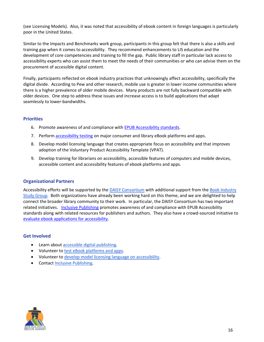(see Licensing Models). Also, it was noted that accessibility of ebook content in foreign languages is particularly poor in the United States.

Similar to the Impacts and Benchmarks work group, participants in this group felt that there is also a skills and training gap when it comes to accessibility. They recommend enhancements to LIS education and the development of core competencies and training to fill the gap. Public library staff in particular lack access to accessibility experts who can assist them to meet the needs of their communities or who can advise them on the procurement of accessible digital content.

Finally, participants reflected on ebook industry practices that unknowingly affect accessibility, specifically the digital divide. According to Pew and other research, mobile use is greater in lower income communities where there is a higher prevalence of older mobile devices. Many products are not fully backward compatible with older devices. One step to address these issues and increase access is to build applications that adapt seamlessly to lower-bandwidths.

#### **Priorities**

- 6. Promote awareness of and compliance with EPUB [Accessibility standards.](http://www.idpf.org/epub/a11y/)
- 7. Perform [accessibility testing](https://inclusivepublishing.org/consumer/testing-reading-experiences/) on major consumer and library eBook platforms and apps.
- 8. Develop model licensing language that creates appropriate focus on accessibility and that improves adoption of the Voluntary Product Accessibility Template (VPAT).
- 9. Develop training for librarians on accessibility, accessible features of computers and mobile devices, accessible content and accessibility features of ebook platforms and apps.

#### **Organizational Partners**

Accessibility efforts will be supported by the [DAISY Consortium](http://www.daisy.org/) with additional support from th[e Book Industry](https://bisg.org/)  [Study Group.](https://bisg.org/) Both organizations have already been working hard on this theme, and we are delighted to help connect the broader library community to their work. In particular, the DAISY Consortium has two important related initiatives. [Inclusive Publishing](https://inclusivepublishing.org/) promotes awareness of and compliance with EPUB Accessibility standards along with related resources for publishers and authors. They also have a crowd-sourced initiative to [evaluate ebook applications for accessibility.](https://inclusivepublishing.org/consumer/testing-reading-experiences/)

#### **Get Involved**

- Learn about [accessible digital publishing.](https://inclusivepublishing.org/inclusive-publishing-hub-resources/)
- Volunteer to [test eBook platforms and apps.](https://inclusivepublishing.org/consumer/testing-reading-experiences/)
- Volunteer to [develop model licensing language on accessibility.](mailto:steve@masslibsystem.org)
- Contact [Inclusive Publishing.](https://inclusivepublishing.org/contact/)

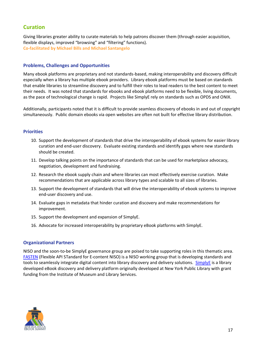## <span id="page-20-0"></span>**Curation**

Giving libraries greater ability to curate materials to help patrons discover them (through easier acquisition, flexible displays, improved "browsing" and "filtering" functions). **Co-facilitated by Michael Bills and Michael Santangelo**

#### **Problems, Challenges and Opportunities**

Many ebook platforms are proprietary and not standards-based, making interoperability and discovery difficult especially when a library has multiple ebook providers. Library ebook platforms must be based on standards that enable libraries to streamline discovery and to fulfill their roles to lead readers to the best content to meet their needs. It was noted that standards for ebooks and ebook platforms need to be flexible, living documents, as the pace of technological change is rapid. Projects like SimplyE rely on standards such as OPDS and ONIX.

Additionally, participants noted that it is difficult to provide seamless discovery of ebooks in and out of copyright simultaneously. Public domain ebooks via open websites are often not built for effective library distribution.

#### **Priorities**

- 10. Support the development of standards that drive the interoperability of ebook systems for easier library curation and end-user discovery. Evaluate existing standards and identify gaps where new standards should be created.
- 11. Develop talking points on the importance of standards that can be used for marketplace advocacy, negotiation, development and fundraising.
- 12. Research the ebook supply chain and where libraries can most effectively exercise curation. Make recommendations that are applicable across library types and scalable to all sizes of libraries.
- 13. Support the development of standards that will drive the interoperability of ebook systems to improve end-user discovery and use.
- 14. Evaluate gaps in metadata that hinder curation and discovery and make recommendations for improvement.
- 15. Support the development and expansion of SimplyE.
- 16. Advocate for increased interoperability by proprietary eBook platforms with SimplyE.

#### **Organizational Partners**

NISO and the soon-to-be SimplyE governance group are poised to take supporting roles in this thematic area. [FASTEN](https://www.niso.org/standards-committees/fasten) (Flexible API STandard for E-content NISO) is a NISO working group that is developing standards and tools to seamlessly integrate digital content into library discovery and delivery solutions. [SimplyE](http://www.librarysimplified.org/) is a library developed eBook discovery and delivery platform originally developed at New York Public Library with grant funding from the Institute of Museum and Library Services.

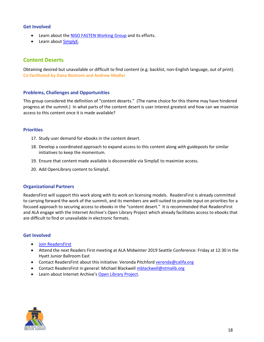#### **Get Involved**

- Learn about th[e NISO FASTEN Working Group](https://www.niso.org/standards-committees/fasten) and its efforts.
- Learn about [SimplyE.](http://www.librarysimplified.org/)

### <span id="page-21-0"></span>**Content Deserts**

Obtaining desired but unavailable or difficult to find content (e.g. backlist, non-English language, out of print). **Co-facilitated by Dana Bostrom and Andrew Medlar**

#### **Problems, Challenges and Opportunities**

This group considered the definition of "content deserts." (The name choice for this theme may have hindered progress at the summit.) In what parts of the content desert is user interest greatest and how can we maximize access to this content once it is made available?

#### **Priorities**

- 17. Study user demand for ebooks in the content desert.
- 18. Develop a coordinated approach to expand access to this content along with guideposts for similar initiatives to keep the momentum.
- 19. Ensure that content made available is discoverable via SimplyE to maximize access.
- 20. Add OpenLibrary content to SimplyE.

#### **Organizational Partners**

ReadersFirst will support this work along with its work on licensing models. ReadersFirst is already committed to carrying forward the work of the summit, and its members are well-suited to provide input on priorities for a focused approach to securing access to ebooks in the "content desert." It is recommended that ReadersFirst and ALA engage with the Internet Archive's Open Library Project which already facilitates access to ebooks that are difficult to find or unavailable in electronic formats.

#### **Get Involved**

- [Join ReadersFirst](http://www.readersfirst.org/contact-us)
- Attend the next Readers First meeting at ALA Midwinter 2019 Seattle Conference: Friday at 12:30 in the Hyatt Junior Ballroom East
- Contact ReadersFirst about this initiative: Veronda Pitchford [veronda@califa.org](mailto:veronda@califa.org)
- Contact ReadersFirst in general: Michael Blackwell [mblackwell@stmalib.org](mailto:mblackwell@stmalib.org)
- Learn about Internet Archive's [Open Library Project.](https://openlibrary.org/)